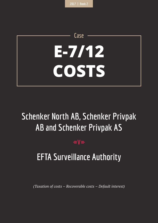# **E-7/12 COSTS**

**Case**

# **Schenker North AB, Schenker Privpak AB and Schenker Privpak AS**

# $=$ **V** $=$

# **EFTA Surveillance Authority**

*(Taxation of costs – Recoverable costs – Default interest)*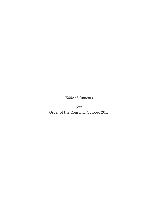*Table of Contents* 

*522* Order of the Court, 11 October 2017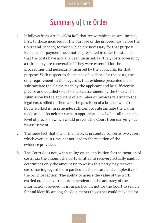# **Summary of the Order**

- 1 It follows from Article 69(b) RoP that recoverable costs are limited, first, to those incurred for the purpose of the proceedings before the Court and, second, to those which are necessary for that purpose. Evidence for payment need not be presented in order to establish that the costs have actually been incurred. Further, costs covered by a third party are recoverable if they were essential for the proceedings and necessarily incurred by the applicants for that purpose. With respect to the means of evidence for the costs, the only requirement in this regard is that evidence presented must substantiate the claims made by the applicant and be sufficiently precise and detailed so as to enable assessment by the Court. The submission by the applicant of a number of invoices relating to the legal costs billed to them and the provision of a breakdown of the hours worked is, in principle, sufficient to substantiate the claims made and lacks neither such an appropriate level of detail nor such a level of precision which would prevent the Court from carrying out its assessment.
- 2 The mere fact that one of the invoices presented concerns two cases, which overlap in time, cannot lead to the rejection of the evidence provided.
- 3 The Court does not, when ruling on an application for the taxation of costs, tax the amount the party entitled to recovery actually paid. It determines only the amount up to which this party may recover costs, having regard to, in particular, the nature and complexity of the principal action. The ability to assess the value of the work carried out is, nevertheless, dependent on the accuracy of the information provided. It is, in particular, not for the Court to search for and identify among the documents those that could make up for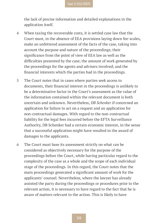the lack of precise information and detailed explanations in the application itself.

- 4 When taxing the recoverable costs, it is settled case law that the Court must, in the absence of EEA provisions laying down fee-scales, make an unfettered assessment of the facts of the case, taking into account the purpose and nature of the proceedings; their significance from the point of view of EEA law as well as the difficulties presented by the case; the amount of work generated by the proceedings for the agents and advisers involved; and the financial interests which the parties had in the proceedings.
- 5 The Court notes that in cases where parties seek access to documents, their financial interest in the proceedings is unlikely to be a determinative factor in the Court's assessment as the value of the information contained within the relevant document is both uncertain and unknown. Nevertheless, *DB Schenker II* concerned an application for failure to act on a request and an application for non-contractual damages. With regard to the non-contractual liability for the legal fees incurred before the EFTA Surveillance Authority, DB Schenker had a certain economic interest, in the sense that a successful application might have resulted in the award of damages to the applicants.
- 6 The Court must base its assessment strictly on what can be considered as objectively necessary for the purpose of the proceedings before the Court, while having particular regard to the complexity of the case as a whole and the scope of each individual stage of the proceedings. In this regard, the Court notes that the main proceedings generated a significant amount of work for the applicants' counsel. Nevertheless, where the lawyer has already assisted the party during the proceedings or procedures prior to the relevant action, it is necessary to have regard to the fact that he is aware of matters relevant to the action. This is likely to have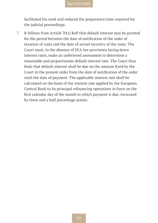facilitated his work and reduced the preparation time required for the judicial proceedings.

7 It follows from Article 70(1) RoP that default interest may be granted for the period between the date of notification of the order of taxation of costs and the date of actual recovery of the costs. The Court must, in the absence of EEA law provisions laying down interest rates, make an unfettered assessment to determine a reasonable and proportionate default interest rate. The Court thus finds that default interest shall be due on the amount fixed by the Court in the present order from the date of notification of the order until the date of payment. The applicable interest rate shall be calculated on the basis of the interest rate applied by the European Central Bank to its principal refinancing operations in force on the first calendar day of the month in which payment is due, increased by three and a half percentage points.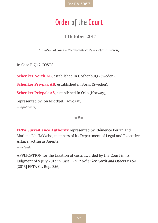**Case E-7/12 COSTS**

# **Order of the Court**

#### **11 October 2017**

*(Taxation of costs – Recoverable costs – Default Interest)*

In Case E-7/12 COSTS,

**Schenker North AB**, established in Gothenburg (Sweden),

**Schenker Privpak AB**, established in Borås (Sweden),

**Schenker Privpak AS**, established in Oslo (Norway),

represented by Jon Midthjell, advokat,

*— applicants,*

 $=$ **V** $=$ 

**EFTA Surveillance Authority** represented by Clémence Perrin and Marlene Lie Hakkebo, members of its Department of Legal and Executive Affairs, acting as Agents,

*— defendant,*

APPLICATION for the taxation of costs awarded by the Court in its judgment of 9 July 2013 in Case E-7/12 *Schenker North and Others* v *ESA* [2013] EFTA Ct. Rep. 356,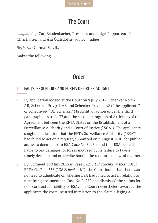# **The Court**

*composed of:* Carl Baudenbacher, President and Judge-Rapporteur, Per Christiansen and Ása Ólafsdóttir (ad hoc), Judges,

*Registrar:* Gunnar Selvik,

makes the following

### **Order**

#### **I FACTS, PROCEDURE AND FORMS OF ORDER SOUGHT**

- 1 By application lodged at the Court on 9 July 2012, Schenker North AB, Schenker Privpak AB and Schenker Privpak AS ("the applicants" or collectively "DB Schenker") brought an action under the third paragraph of Article 37 and the second paragraph of Article 46 of the Agreement between the EFTA States on the Establishment of a Surveillance Authority and a Court of Justice ("SCA"). The applicants sought a declaration that the EFTA Surveillance Authority ("ESA") had failed to act on a request, submitted on 3 August 2010, for public access to documents in ESA Case No 34250, and that ESA be held liable to pay damages for losses incurred by its failure to take a timely decision and otherwise handle the request in a lawful manner.
- 2 By judgment of 9 July 2013 in Case E-7/12 *DB Schenker* v *ESA* [2013] EFTA Ct. Rep. 356 ("*DB Schenker II*"), the Court found that there was no need to adjudicate on whether ESA had failed to act in relation to remaining documents in Case No 34250 and dismissed the claims for non-contractual liability of ESA. The Court nevertheless awarded the applicants the costs incurred in relation to the claim alleging a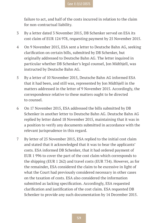failure to act, and half of the costs incurred in relation to the claim for non-contractual liability.

- 3 By a letter dated 3 November 2015, DB Schenker served on ESA its cost claim of EUR 124 978, requesting payment by 25 November 2015.
- 4 On 9 November 2015, ESA sent a letter to Deutsche Bahn AG, seeking clarification on certain bills, submitted by DB Schenker, but originally addressed to Deutsche Bahn AG. The letter inquired in particular whether DB Schenker's legal counsel, Jon Midthjell, was instructed by Deutsche Bahn AG.
- 5 By a letter of 10 November 2015, Deutsche Bahn AG informed ESA that it had been, and still was, represented by Jon Midthjell in the matters addressed in the letter of 9 November 2015. Accordingly, the correspondence relative to these matters ought to be directed to counsel.
- 6 On 17 November 2015, ESA addressed the bills submitted by DB Schenker in another letter to Deutsche Bahn AG. Deutsche Bahn AG replied by letter dated 18 November 2015, maintaining that it was in a position to verify any documents submitted in accordance with the relevant jurisprudence in this regard.
- 7 By letter of 25 November 2015, ESA replied to the initial cost claim and stated that it acknowledged that it was to bear the applicants' costs. ESA informed DB Schenker, that it had ordered payment of EUR 1 996 to cover the part of the cost claim which corresponds to the shipping (EUR 1 262) and travel costs (EUR 734). However, as for the remainder, ESA considered the claim to be excessive in light of what the Court had previously considered necessary in other cases on the taxation of costs. ESA also considered the information submitted as lacking specification. Accordingly, ESA requested clarification and justification of the cost claim. ESA requested DB Schenker to provide any such documentation by 14 December 2015.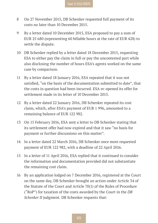- 8 On 27 November 2015, DB Schenker requested full payment of its costs no later than 10 December 2015.
- 9 By a letter dated 10 December 2015, ESA proposed to pay a sum of EUR 25 680 (representing 60 billable hours at the rate of EUR 428) to settle the dispute.
- 10 DB Schenker replied by a letter dated 18 December 2015, requesting ESA to either pay the claim in full or pay the uncontested part while also disclosing the number of hours ESA's agents worked on the same case by comparison.
- 11 By a letter dated 18 January 2016, ESA repeated that it was not satisfied, "on the basis of the documentation submitted to date", that the costs in question had been incurred. ESA re-opened its offer for settlement made in its letter of 10 December 2015.
- 12 By a letter dated 22 January 2016, DB Schenker repeated its cost claim, which, after ESA's payment of EUR 1 996, amounted to a remaining balance of EUR 122 982.
- 13 On 15 February 2016, ESA sent a letter to DB Schenker stating that its settlement offer had now expired and that it saw "no basis for payment or further discussions on this matter".
- 14 In a letter dated 22 March 2016, DB Schenker once more requested payment of EUR 122 982, with a deadline of 22 April 2016.
- 15 In a letter of 11 April 2016, ESA replied that it continued to consider the information and documentation provided did not substantiate the remaining cost claim.
- 16 By an application lodged on 7 December 2016, registered at the Court on the same day, DB Schenker brought an action under Article 34 of the Statute of the Court and Article 70(1) of the Rules of Procedure ("RoP") for taxation of the costs awarded by the Court in the *DB Schenker II* judgment. DB Schenker requests that: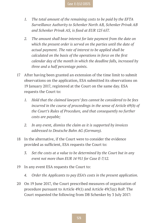- *1. The total amount of the remaining costs to be paid by the EFTA Surveillance Authority to Schenker North AB, Schenker Privak AB and Schenker Privak AS, is fixed at EUR 125 657.*
- *2. The amount shall bear interest for late payment from the date on which the present order is served on the parties until the date of actual payment. The rate of interest to be applied shall be calculated on the basis of the operations in force on the first calendar day of the month in which the deadline falls, increased by three and a half percentage points.*
- 17 After having been granted an extension of the time limit to submit observations on the application, ESA submitted its observations on 19 January 2017, registered at the Court on the same day. ESA requests the Court to:
	- *1. Hold that the claimed lawyers' fees cannot be considered to be fees incurred in the course of proceedings in the sense of Article 69(b) of the Court's Rules of Procedure, and that consequently no further costs are payable;*
	- *2. In any event, dismiss the claim as it is supported by invoices addressed to Deutsche Bahn AG (Germany).*
- 18 In the alternative, if the Court were to consider the evidence provided as sufficient, ESA requests the Court to:
	- *3. Set the costs at a value to be determined by the Court but in any event not more than EUR 14 911 for Case E-7/12.*
- 19 In any event ESA requests the Court to:
	- *4. Order the Applicants to pay ESA's costs in the present application.*
- 20 On 19 June 2017, the Court prescribed measures of organization of procedure pursuant to Article 49(1) and Article 49(3)(c) RoP. The Court requested the following from DB Schenker by 3 July 2017: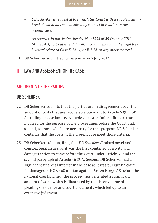- *– DB Schenker is requested to furnish the Court with a supplementary break down of all costs invoiced by counsel in relation to the present case.*
- *– As regards, in particular, invoice No 61338 of 26 October 2012 (Annex A.1) to Deutsche Bahn AG: To what extent do the legal fees invoiced relate to Case E-14/11, or E-7/12, or any other matter?*
- 21 DB Schenker submitted its response on 3 July 2017.

#### **II LAW AND ASSESSMENT OF THE CASE**

#### **ARGUMENTS OF THE PARTIES**

#### **DB SCHENKER**

- 22 DB Schenker submits that the parties are in disagreement over the amount of costs that are recoverable pursuant to Article 69(b) RoP. According to case law, recoverable costs are limited, first, to those incurred for the purpose of the proceedings before the Court and, second, to those which are necessary for that purpose. DB Schenker contends that the costs in the present case meet those criteria.
- 23 DB Schenker submits, first, that *DB Schenker II* raised novel and complex legal issues, as it was the first combined passivity and damages action to come before the Court under Article 37 and the second paragraph of Article 46 SCA. Second, DB Schenker had a significant financial interest in the case as it was pursuing a claim for damages of NOK 460 million against Posten Norge AS before the national courts. Third, the proceedings generated a significant amount of work, which is illustrated by the sheer volume of pleadings, evidence and court documents which led up to an extensive judgment.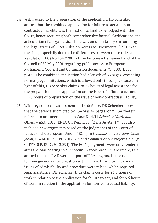- 24 With regard to the preparation of the application, DB Schenker argues that the combined application for failure to act and noncontractual liability was the first of its kind to be lodged with the Court, hence requiring both comprehensive factual clarifications and articulation of a legal basis. There was an uncertainty surrounding the legal status of ESA's Rules on Access to Documents ("RAD") at the time, especially due to the differences between these rules and Regulation (EC) No 1049/2001 of the European Parliament and of the Council of 30 May 2001 regarding public access to European Parliament, Council and Commission documents (OJ 2001 L 145, p. 43). The combined application had a length of 66 pages, exceeding normal page limitations, which is allowed only in complex cases. In light of this, DB Schenker claims 78.25 hours of legal assistance for the preparation of the application on the issue of failure to act and 17.25 hours of preparation on the issue of non-contractual liability.
- 25 With regard to the assessment of the defence, DB Schenker notes that the defence submitted by ESA was 42 pages long. ESA therein referred to arguments made in Case E-14/11 *Schenker North and Others* v *ESA* [2012] EFTA Ct. Rep. 1178 ("*DB Schenker I*"), but also included new arguments based on the judgments of the Court of Justice of the European Union ("ECJ") in *Commission* v *Éditions Odile Jacob*, C-404/10 P, EU:C:2012:393 and *Commission* v *Agrofert Holding*, C-477/10 P, EU:C:2012:394). The ECJ's judgments were only rendered after the oral hearing in *DB Schenker I* took place. Furthermore, ESA argued that the RAD were not part of EEA law, and hence not subject to homogeneous interpretation with EU law. In addition, various issues of admissibility and procedure were raised, which required legal assistance. DB Schenker thus claims costs for 24.5 hours of work in relation to the application for failure to act, and for 6.5 hours of work in relation to the application for non-contractual liability.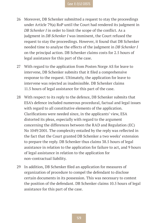- 26 Moreover, DB Schenker submitted a request to stay the proceedings under Article 79(a) RoP until the Court had rendered its judgment in *DB Schenker I* in order to limit the scope of the conflict. As a judgment in *DB Schenker I* was imminent, the Court refused the request to stay the proceedings. However, it found that DB Schenker needed time to analyse the effects of the judgment in *DB Schenker I* on the principal action. DB Schenker claims costs for 2.5 hours of legal assistance for this part of the case.
- 27 With regard to the application from Posten Norge AS for leave to intervene, DB Schenker submits that it filed a comprehensive response to the request. Ultimately, the application for leave to intervene was rejected as inadmissible. DB Schenker claims 11.5 hours of legal assistance for this part of the case.
- 28 With respect to its reply to the defence, DB Schenker submits that ESA's defence included numerous procedural, factual and legal issues with regard to all constitutive elements of the application. Clarifications were needed since, in the applicants' view, ESA distorted its pleas, especially with regard to the argument concerning the differences between the RAD and Regulation (EC) No 1049/2001. The complexity entailed by the reply was reflected in the fact that the Court granted DB Schenker a two weeks' extension to prepare the reply. DB Schenker thus claims 38.5 hours of legal assistance in relation to the application for failure to act, and 9 hours of legal assistance in relation to the application for non-contractual liability.
- 29 In addition, DB Schenker filed an application for measures of organization of procedure to compel the defendant to disclose certain documents in its possession. This was necessary to contest the position of the defendant. DB Schenker claims 10.5 hours of legal assistance for this part of the case.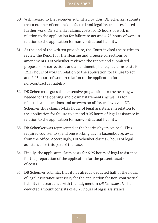- 30 With regard to the rejoinder submitted by ESA, DB Schenker submits that a number of contentious factual and legal issues necessitated further work. DB Schenker claims costs for 15 hours of work in relation to the application for failure to act and 4.25 hours of work in relation to the application for non-contractual liability.
- 31 At the end of the written procedure, the Court invited the parties to review the Report for the Hearing and propose corrections or amendments. DB Schenker reviewed the report and submitted proposals for corrections and amendments; hence, it claims costs for 12.25 hours of work in relation to the application for failure to act and 2.25 hours of work in relation to the application for non-contractual liability.
- 32 DB Schenker argues that extensive preparation for the hearing was needed for the opening and closing statements, as well as for rebuttals and questions and answers on all issues involved. DB Schenker thus claims 34.25 hours of legal assistance in relation to the application for failure to act and 9.25 hours of legal assistance in relation to the application for non-contractual liability.
- 33 DB Schenker was represented at the hearing by its counsel. This required counsel to spend one working day in Luxembourg, away from the office. Accordingly, DB Schenker claims 8 hours of legal assistance for this part of the case.
- 34 Finally, the applicants claim costs for 6.25 hours of legal assistance for the preparation of the application for the present taxation of costs.
- 35 DB Schenker submits, that it has already deducted half of the hours of legal assistance necessary for the application for non-contractual liability in accordance with the judgment in *DB Schenker II*. The deducted amount consists of 48.75 hours of legal assistance.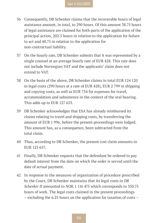- 36 Consequently, DB Schenker claims that the recoverable hours of legal assistance amount, in total, to 290 hours. Of this amount 38.75 hours of legal assistance are claimed for both parts of the application of the principal action, 202.5 hours in relation to the application for failure to act and 48.75 in relation to the application for non-contractual liability.
- 37 On the hourly rate, DB Schenker submits that it was represented by a single counsel at an average hourly rate of EUR 428. This rate does not include Norwegian VAT and the applicants' claim does not extend to VAT.
- 38 On the basis of the above, DB Schenker claims in total EUR 124 120 in legal costs (290 hours at a rate of EUR 428), EUR 2 799 in shipping and copying costs, as well as EUR 734 for expenses for travel, accommodation and subsistence in the context of the oral hearing. This adds up to EUR 127 653.
- 39 DB Schenker acknowledges that ESA has already reimbursed its claims relating to travel and shipping costs, by transferring the amount of EUR 1 996, before the present proceedings were lodged. This amount has, as a consequence, been subtracted from the total claim.
- 40 Thus, according to DB Schenker, the present cost claim amounts to EUR 125 657.
- 41 Finally, DB Schenker requests that the defendant be ordered to pay default interest from the date on which the order is served until the date of actual payment.
- 42 In response to the measures of organization of procedure prescribed by the Court, DB Schenker maintains that its legal costs in *DB Schenker II* amounted to NOK 1 116 475 which corresponds to 350.75 hours of work. The legal costs claimed in the present proceedings – excluding the 6.25 hours on the application for taxation of costs –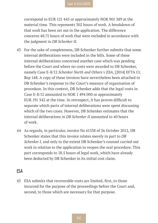correspond to EUR 121 445 or approximately NOK 901 389 at the material time. This represents 302 hours of work. A breakdown of that work has been set out in the application. The difference concerns 48.75 hours of work that were excluded in accordance with the judgment in *DB Schenker II*.

- 43 For the sake of completeness, DB Schenker further submits that some internal deliberations were included in the bills. Some of these internal deliberations concerned another case which was pending before the Court and where no costs were awarded to DB Schenker, namely Case E-8/12 *Schenker North and Others* v *ESA*, [2014] EFTA Ct. Rep 148. A copy of these invoices have nevertheless been attached to DB Schenker's response to the Court's measure of organisation of procedure. In this context, DB Schenker adds that the legal costs in Case E-8/12 amounted to NOK 1 494 000 or approximately EUR 191 342 at the time. In retrospect, it has proven difficult to separate which parts of internal deliberations were spent discussing which of the two cases. However, DB Schenker estimates that the internal deliberations in *DB Schenker II* amounted to 40 hours of work.
- 44 As regards, in particular, invoice No 61338 of 26 October 2012, DB Schenker states that this invoice relates merely in part to *DB Schenker I*, and only to the extent DB Schenker's counsel carried out work in relation to the application to reopen the oral procedure. This part corresponds to 18.5 hours of legal work, which have already been deducted by DB Schenker in its initial cost claim.

#### **ESA**

45 ESA submits that recoverable costs are limited, first, to those incurred for the purpose of the proceedings before the Court and, second, to those which are necessary for that purpose.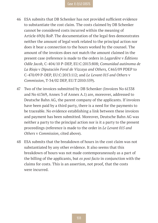- 46 ESA submits that DB Schenker has not provided sufficient evidence to substantiate the cost claim. The costs claimed by DB Schenker cannot be considered costs incurred within the meaning of Article 69(b) RoP. The documentation of the legal fees demonstrates neither the amount of legal work related to the principal action nor does it bear a connection to the hours worked by the counsel. The amount of the invoices does not match the amount claimed in the present case (reference is made to the orders in *Lagardère* v *Éditions Odile Jacob*, C-404/10 P-DEP, EU:C:2013:808; *Comunidad autónoma de La Rioja* v *Diputación Foral de Vizcaya and Others,* C465/09 PDEP to C-470/09 P-DEP, EU:C:2013:112; and *Le Levant 015 and Others* v *Commission*, T-34/02 DEP, EU:T:2010:559).
- 47 Two of the invoices submitted by DB Schenker (Invoices No 61338 and No 61369, Annex 3 of Annex A.1) are, moreover, addressed to Deutsche Bahn AG, the parent company of the applicants. If invoices have been paid by a third party, there is a need for the payments to be traceable. No evidence establishing a link between these invoices and payment has been submitted. Moreover, Deutsche Bahn AG was neither a party to the principal action nor is it a party to the present proceedings (reference is made to the order in *Le Levant 015 and Others* v *Commission*, cited above).
- 48 ESA submits that the breakdown of hours in the cost claim was not substantiated by any other evidence. It also seems that this breakdown of hours was not made contemporaneously as a part of the billing of the applicants, but *ex post facto* in conjunction with the claims for costs. This is an assertion, not proof, that the costs were incurred.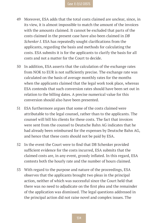- 49 Moreover, ESA adds that the total costs claimed are unclear, since, in its view, it is almost impossible to match the amount of the invoices with the amounts claimed. It cannot be excluded that parts of the costs claimed in the present case have also been claimed in *DB Schenker I*. ESA has repeatedly sought clarifications from the applicants, regarding the basis and methods for calculating the costs. ESA submits it is for the applicants to clarify the basis for all costs and not a matter for the Court to decide.
- 50 In addition, ESA asserts that the calculation of the exchange rates from NOK to EUR is not sufficiently precise. The exchange rate was calculated on the basis of average monthly rates for the months when the applicants claimed that the legal work took place, whereas ESA contends that such conversion rates should have been set out in relation to the billing dates. A precise numerical value for this conversion should also have been presented.
- 51 ESA furthermore argues that some of the costs claimed were attributable to the legal counsel, rather than to the applicants. The counsel will bill his clients for these costs. The fact that invoices were sent from the counsel to Deutsche Bahn AG indicates that he had already been reimbursed for the expenses by Deutsche Bahn AG, and hence that these costs should not be paid by ESA.
- 52 In the event the Court were to find that DB Schenker provided sufficient evidence for the costs incurred, ESA submits that the claimed costs are, in any event, grossly inflated. In this regard, ESA contests both the hourly rate and the number of hours claimed.
- 53 With regard to the purpose and nature of the proceedings, ESA observes that the applicants brought two pleas in the principal action, neither of which was successful since the Court held that there was no need to adjudicate on the first plea and the remainder of the application was dismissed. The legal questions addressed in the principal action did not raise novel and complex issues. The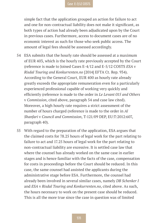simple fact that the application grouped an action for failure to act and one for non-contractual liability does not make it significant, as both types of action had already been adjudicated upon by the Court in previous cases. Furthermore, access to document cases are of no economic interest as such for those who seek public access. The amount of legal fees should be assessed accordingly.

- 54 ESA submits that the hourly rate should be assessed at a maximum of EUR 403, which is the hourly rate previously accepted by the Court (reference is made to Joined Cases E-4/12 and E-5/12 COSTS *ESA* v *Risdal Touring and Konkurrenten.no* [2014] EFTA Ct. Rep. 934). According to the General Court, EUR 400 as hourly rate already greatly exceeds the appropriate remuneration even for a particularly experienced professional capable of working very quickly and efficiently (reference is made to the order in *Le Levant 015 and Others* v *Commission*, cited above, paragraph 54 and case law cited). Moreover, a high hourly rate requires a strict assessment of the number of hours charged (reference is made to the order in *Al Shanfari* v *Council and Commission*, T-121/09 DEP, EU:T:2012:607, paragraph 40).
- 55 With regard to the preparation of the application, ESA argues that the claimed costs for 78.25 hours of legal work for the part relating to failure to act and 17.25 hours of legal work for the part relating to non-contractual liability are excessive. It is settled case law that where the counsel has already worked on the same case in earlier stages and is hence familiar with the facts of the case, compensation for costs in proceedings before the Court should be reduced. In this case, the same counsel had assisted the applicants during the administrative stage before ESA. Furthermore, the counsel had already been involved in several similar cases, namely *DB Schenker I*  and *ESA* v *Risdal Touring and Konkurrenten.no*, cited above. As such, the hours necessary to work on the present case should be reduced. This is all the more true since the case in question was of limited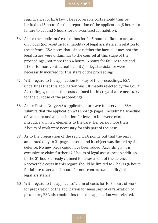significance for EEA law. The recoverable costs should thus be limited to 13 hours for the preparation of the application (8 hours for failure to act and 5 hours for non-contractual liability).

- 56 As for the applicants' cost claims for 24.5 hours (failure to act) and 6.5 hours (non-contractual liability) of legal assistance in relation to the defence, ESA notes that, since neither the factual issues nor the legal issues were unfamiliar to the counsel at this stage of the proceedings, not more than 4 hours (3 hours for failure to act and 1 hour for non-contractual liability) of legal assistance were necessarily incurred for this stage of the proceedings.
- 57 With regard to the application for stay of the proceedings, ESA underlines that this application was ultimately rejected by the Court. Accordingly, none of the costs claimed in this regard were necessary for the purpose of the proceedings.
- 58 As for Posten Norge AS's application for leave to intervene, ESA submits that the application was short (6 pages, including a schedule of Annexes) and an application for leave to intervene cannot introduce any new elements to the case. Hence, no more than 2 hours of work were necessary for this part of the case.
- 59 As to the preparation of the reply, ESA points out that the reply amounted only to 21 pages in total and its object was limited by the defence. No new pleas could have been added. Accordingly, it is excessive to claim further 47.5 hours of legal assistance in addition to the 31 hours already claimed for assessment of the defence. Recoverable costs in this regard should be limited to 8 hours (6 hours for failure to act and 2 hours for non-contractual liability) of legal assistance.
- 60 With regard to the applicants' claim of costs for 10.5 hours of work for preparation of the application for measures of organization of procedure, ESA also maintains that this application was rejected.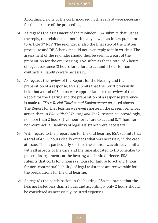Accordingly, none of the costs incurred in this regard were necessary for the purpose of the proceedings.

- 61 As regards the assessment of the rejoinder, ESA submits that just as the reply, the rejoinder cannot bring any new pleas in law pursuant to Article 37 RoP. The rejoinder is also the final step of the written procedure and DB Schenker could not even reply to it in writing. The assessment of the rejoinder should thus be seen as a part of the preparation for the oral hearing. ESA submits that a total of 3 hours of legal assistance (2 hours for failure to act and 1 hour for noncontractual liability) were necessary.
- 62 As regards the review of the Report for the Hearing and the preparation of a response, ESA submits that the Court previously held that a total of 3 hours were appropriate for the review of the Report for the Hearing and the preparation of a response (reference is made to *ESA* v *Risdal Touring and Konkurrenten.no*, cited above). The Report for the Hearing was even shorter in the present principal action than in *ESA* v *Risdal Touring and Konkurrenten.no*; accordingly, no more than 2 hours (1.25 hour for failure to act and 0.75 hour for non-contractual liability) of legal assistance were necessary.
- 63 With regard to the preparation for the oral hearing, ESA submits that a total of 43.50 hours clearly exceeds what was necessary in the case at issue. This is particularly so since the counsel was already familiar with all aspects of the case and the time allocated to DB Schenker to present its arguments at the hearing was limited. Hence, ESA submits that costs for 3 hours (2 hours for failure to act and 1 hour for non-contractual liability) of legal assistance are recoverable for the preparations for the oral hearing.
- 64 As regards the participation in the hearing, ESA maintains that the hearing lasted less than 2 hours and accordingly only 2 hours should be considered as necessarily incurred expenses.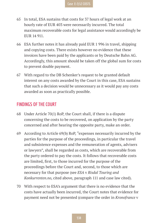- 65 In total, ESA sustains that costs for 37 hours of legal work at an hourly rate of EUR 403 were necessarily incurred. The total maximum recoverable costs for legal assistance would accordingly be EUR 14 911.
- 66 ESA further notes it has already paid EUR 1 996 in travel, shipping and copying costs. There exists however no evidence that these invoices have been paid by the applicants or by Deutsche Bahn AG. Accordingly, this amount should be taken off the global sum for costs to prevent double payment.
- 67 With regard to the DB Schenker's request to be granted default interest on any costs awarded by the Court in this case, ESA sustains that such a decision would be unnecessary as it would pay any costs awarded as soon as practically possible.

#### **FINDINGS OF THE COURT**

- 68 Under Article 70(1) RoP, the Court shall, if there is a dispute concerning the costs to be recovered, on application by the party concerned and after hearing the opposite party, make an order.
- 69 According to Article 69(b) RoP, "expenses necessarily incurred by the parties for the purpose of the proceedings, in particular the travel and subsistence expenses and the remuneration of agents, advisers or lawyers", shall be regarded as costs, which are recoverable from the party ordered to pay the costs. It follows that recoverable costs are limited, first, to those incurred for the purpose of the proceedings before the Court and, second, to those which are necessary for that purpose (see *ESA* v *Risdal Touring and Konkurrenten.no*, cited above, paragraph 111 and case law cited).
- 70 With respect to ESA's argument that there is no evidence that the costs have actually been incurred, the Court notes that evidence for payment need not be presented (compare the order in *Kronofrance* v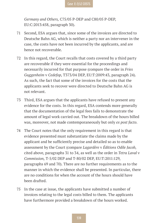*Germany and Others,* C75/05 P-DEP and C80/05 P-DEP, EU:C:2013:458, paragraph 30).

- 71 Second, ESA argues that, since some of the invoices are directed to Deutsche Bahn AG, which is neither a party nor an intervener in the case, the costs have not been incurred by the applicants, and are hence not recoverable.
- 72 In this regard, the Court recalls that costs covered by a third party are recoverable if they were essential for the proceedings and necessarily incurred for that purpose (compare the order in *Fries Guggenheim* v *Cedefop*, T373/04 DEP, EU:T:2009:43, paragraph 24). As such, the fact that some of the invoices for the costs that the applicants seek to recover were directed to Deutsche Bahn AG is not relevant.
- 73 Third, ESA argues that the applicants have refused to present any evidence for the costs. In this regard, ESA contends more generally that the documentation of the legal fees fails to demonstrate the amount of legal work carried out. The breakdown of the hours billed was, moreover, not made contemporaneously but only *ex post facto*.
- 74 The Court notes that the only requirement in this regard is that evidence presented must substantiate the claims made by the applicant and be sufficiently precise and detailed so as to enable assessment by the Court (compare *Lagardère* v *Éditions Odile Jacob*, cited above, paragraphs 31 to 34, as well as the order in *Tetra Laval* v *Commission,* T-5/02 DEP and T-80/02 DEP, EU:T:2011:129, paragraphs 69 and 70). There are no further requirements as to the manner in which the evidence shall be presented. In particular, there are no conditions for when the account of the hours should have been drafted.
- 75 In the case at issue, the applicants have submitted a number of invoices relating to the legal costs billed to them. The applicants have furthermore provided a breakdown of the hours worked.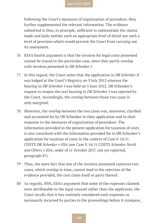Following the Court's measures of organization of procedure, they further supplemented the relevant information. The evidence submitted is thus, in principle, sufficient to substantiate the claims made and lacks neither such an appropriate level of detail nor such a level of precision which would prevent the Court from carrying out its assessment.

- 76 ESA's fourth argument is that the invoices for legal costs presented cannot be traced to the particular case, since they partly overlap with invoices presented in *DB Schenker I*.
- 77 In this regard, the Court notes that the application in *DB Schenker II* was lodged at the Court's Registry on 9 July 2012 whereas the hearing in *DB Schenker I* was held on 5 June 2012. DB Schenker's request to reopen the oral hearing in *DB Schenker I* was rejected by the Court. Accordingly, the overlap between those two cases is only marginal.
- 78 Moreover, the overlap between the two cases was, moreover, clarified and accounted for by DB Schenker in their application and in their response to the measures of organization of procedure. The information provided in the present application for taxation of costs is also consistent with the information provided for in DB Schenker's application for taxation of costs in the context of Case E-14/11 COSTS *DB Schenker* v *ESA* (see Case E-14/11 COSTS *Schenker North and Others* v *ESA*, order of 11 October 2017, not yet reported, paragraph 87).
- 79 Thus, the mere fact that one of the invoices presented concerns two cases, which overlap in time, cannot lead to the rejection of the evidence provided, the cost claim itself or parts thereof.
- 80 As regards, fifth, ESA's argument that some of the expenses claimed were attributable to the legal counsel rather than the applicants, the Court recalls that it has routinely considered such expenses as necessarily incurred by parties to the proceedings before it (compare,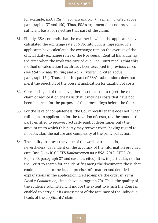for example, *ESA* v *Risdal Touring and Konkurrenten.no*, cited above, paragraphs 137 and 150). Thus, ESA's argument does not provide a sufficient basis for rejecting that part of the claim.

- 81 Finally, ESA contends that the manner in which the applicants have calculated the exchange rate of NOK into EUR is imprecise. The applicants have calculated the exchange rate on the average of the official daily exchange rates of the Norwegian Central Bank during the time when the work was carried out. The Court recalls that this method of calculation has already been accepted in previous cases (see *ESA* v *Risdal Touring* and *Konkurrenten.no*, cited above, paragraph 121). Thus, also this part of ESA's submissions does not merit the rejection of the present application for taxation of costs.
- 82 Considering all of the above, there is no reason to reject the cost claim or reduce it on the basis that it includes costs that have not been incurred for the purpose of the proceedings before the Court.
- 83 For the sake of completeness, the Court recalls that it does not, when ruling on an application for the taxation of costs, tax the amount the party entitled to recovery actually paid. It determines only the amount up to which this party may recover costs, having regard to, in particular, the nature and complexity of the principal action.
- 84 The ability to assess the value of the work carried out is, nevertheless, dependent on the accuracy of the information provided (see Case E-14/10 COSTS *Konkurrenten.no* v *ESA* [2012] EFTA Ct. Rep. 900, paragraph 27 and case law cited). It is, in particular, not for the Court to search for and identify among the documents those that could make up for the lack of precise information and detailed explanations in the application itself (compare the order in *Tetra Laval* v *Commission,* cited above, paragraph 70). Thus, the quality of the evidence submitted will induce the extent to which the Court is enabled to carry out its assessment of the accuracy of the individual heads of the applicants' claim.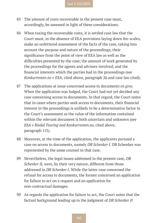- 85 The amount of costs recoverable in the present case must, accordingly, be assessed in light of these considerations.
- 86 When taxing the recoverable costs, it is settled case law that the Court must, in the absence of EEA provisions laying down fee-scales, make an unfettered assessment of the facts of the case, taking into account the purpose and nature of the proceedings; their significance from the point of view of EEA law as well as the difficulties presented by the case; the amount of work generated by the proceedings for the agents and advisers involved; and the financial interests which the parties had in the proceedings (see *Konkurrenten.no* v *ESA*, cited above, paragraph 26 and case law cited).
- 87 The applications at issue concerned access to documents *en gros*. When the application was lodged, the Court had not yet decided any case concerning access to documents. In that regard, the Court notes that in cases where parties seek access to documents, their financial interest in the proceedings is unlikely to be a determinative factor in the Court's assessment as the value of the information contained within the relevant document is both uncertain and unknown (see *ESA* v *Risdal Touring and Konkurrenten.no*, cited above, paragraph 113).
- 88 Moreover, at the time of the application, the applicants pursued a case on access to documents, namely *DB Schenker I*. DB Schenker was represented by the same counsel in that case.
- 89 Nevertheless, the legal issues addressed in the present case, *DB Schenker II, were, by their very nature, different from those* addressed in *DB Schenker I*. While the latter case concerned the refusal for access to documents, the former concerned an application for failure to act on a request and an application for non-contractual damages.
- 90 As regards the application for failure to act, the Court notes that the factual background leading up to the judgment of *DB Schenker II*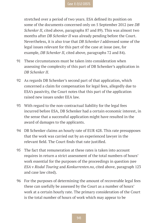stretched over a period of two years. ESA defined its position on some of the documents concerned only on 5 September 2012 (see *DB Schenker II*, cited above, paragraphs 87 and 89). This was almost two months after *DB Schenker II* was already pending before the Court. Nevertheless, it is also true that *DB Schenker I* addressed some of the legal issues relevant for this part of the case at issue (see, for example, *DB Schenker II*, cited above, paragraphs 72 and 84).

- 91 These circumstances must be taken into consideration when assessing the complexity of this part of DB Schenker's application in *DB Schenker II*.
- 92 As regards DB Schenker's second part of that application, which concerned a claim for compensation for legal fees, allegedly due to ESA's passivity, the Court notes that this part of the application raised new issues under EEA law.
- 93 With regard to the non-contractual liability for the legal fees incurred before ESA, DB Schenker had a certain economic interest, in the sense that a successful application might have resulted in the award of damages to the applicants.
- 94 DB Schenker claims an hourly rate of EUR 428. This rate presupposes that the work was carried out by an experienced lawyer in the relevant field. The Court finds that rate justified.
- 95 The fact that remuneration at these rates is taken into account requires in return a strict assessment of the total numbers of hours' work essential for the purposes of the proceedings in question (see *ESA* v *Risdal Touring* and *Konkurrenten.no*, cited above, paragraph 123 and case law cited).
- 96 For the purposes of determining the amount of recoverable legal fees these can usefully be assessed by the Court as a number of hours' work at a certain hourly rate. The primary consideration of the Court is the total number of hours of work which may appear to be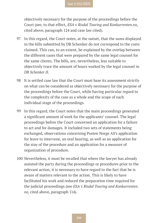objectively necessary for the purpose of the proceedings before the Court (see, to that effect, *ESA* v *Risdal Touring and Konkurrenten.no*, cited above, paragraph 124 and case law cited).

- 97 In this regard, the Court notes, at the outset, that the sums displayed in the bills submitted by DB Schenker do not correspond to the costs claimed. This can, to an extent, be explained by the overlap between the different cases that were prepared by the same legal counsel for the same clients. The bills, are, nevertheless, less suitable to objectively trace the amount of hours worked by the legal counsel in *DB Schenker II*.
- 98 It is settled case law that the Court must base its assessment strictly on what can be considered as objectively necessary for the purpose of the proceedings before the Court, while having particular regard to the complexity of the case as a whole and the scope of each individual stage of the proceedings.
- 99 In this regard, the Court notes that the main proceedings generated a significant amount of work for the applicants' counsel. The legal proceedings before the Court concerned an application for a failure to act and for damages. It included two sets of statements being exchanged, observations concerning Posten Norge AS's application for leave to intervene, an oral hearing, as well as an application for the stay of the procedure and an application for a measure of organization of procedure.
- 100 Nevertheless, it must be recalled that where the lawyer has already assisted the party during the proceedings or procedures prior to the relevant action, it is necessary to have regard to the fact that he is aware of matters relevant to the action. This is likely to have facilitated his work and reduced the preparation time required for the judicial proceedings (see *ESA* v *Risdal Touring and Konkurrenten. no*, cited above, paragraph 114).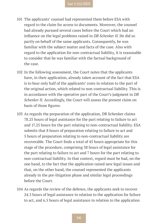- 101 The applicants' counsel had represented them before ESA with regard to the claim for access to documents. Moreover, the counsel had already pursued several cases before the Court which had an influence on the legal problems raised in *DB Schenker II*. He did so partly on behalf of the same applicants. Consequently, he was familiar with the subject matter and facts of the case. Also with regard to the application for non-contractual liability, it is reasonable to consider that he was familiar with the factual background of the case.
- 102 In the following assessment, the Court notes that the applicants have, in their application, already taken account of the fact that ESA is to bear only half of the applicants' costs in relation to the part of the original action, which related to non-contractual liability. This is in accordance with the operative part of the Court's judgment in *DB Schenker II*. Accordingly, the Court will assess the present claim on basis of those figures.
- 103 As regards the preparation of the application, DB Schenker claims 78.25 hours of legal assistance for the part relating to failure to act and 17.25 hours for the part relating to non-contractual liability. ESA submits that 8 hours of preparation relating to failure to act and 5 hours of preparation relating to non-contractual liability are recoverable. The Court finds a total of 45 hours appropriate for this stage of the procedure, comprising 38 hours of legal assistance for the part relating to failure to act and 7 hours for the part relating to non-contractual liability. In that context, regard must be had, on the one hand, to the fact that the application raised new legal issues and that, on the other hand, the counsel represented the applicants already in the pre-litigation phase and similar legal proceedings before the Court.
- 104 As regards the review of the defence, the applicants seek to recover 24.5 hours of legal assistance in relation to the application for failure to act, and 6.5 hours of legal assistance in relation to the application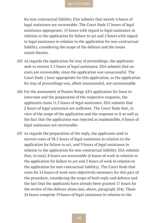for non-contractual liability. ESA submits that merely 4 hours of legal assistance are recoverable. The Court finds 17 hours of legal assistance appropriate, 15 hours with regard to legal assistance in relation to the application for failure to act and 2 hours with regard to legal assistance in relation to the application for non-contractual liability, considering the scope of the defence and the issues raised therein.

- 105 As regards the application for stay of proceedings, the applicants seek to recover 2.5 hours of legal assistance. ESA submits that no costs are recoverable, since the application was unsuccessful. The Court finds 1 hour appropriate for this application, as the application for stay of proceedings was, albeit unsuccessful, not unreasonable.
- 106 For the assessment of Posten Norge AS's application for leave to intervene and the preparation of the respective response, the applicants claim 11.5 hours of legal assistance. ESA submits that 2 hours of legal assistance are sufficient. The Court finds that, in view of the scope of the application and the response to it as well as the fact that the application was rejected as inadmissible, 8 hours of legal assistance are recoverable.
- 107 As regards the preparation of the reply, the applicants seek to recover costs of 38.5 hours of legal assistance in relation to the application for failure to act, and 9 hours of legal assistance in relation to the application for non-contractual liability. ESA submits that, in total, 8 hours are recoverable (6 hours of work in relation to the application for failure to act and 2 hours of work in relation to the application for non-contractual liability). The Court finds that costs for 24 hours of work were objectively necessary for this part of the procedure, considering the scope of both reply and defence and the fact that the applicants have already been granted 17 hours for the review of the defence alone (see, above, paragraph 104). These 24 hours comprise 19 hours of legal assistance in relation to the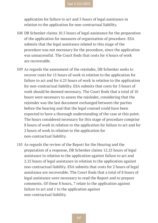application for failure to act and 5 hours of legal assistance in relation to the application for non-contractual liability.

- 108 DB Schenker claims 10.5 hours of legal assistance for the preparation of the application for measures of organization of procedure. ESA submits that the legal assistance related to this stage of the procedure was not necessary for the procedure, since the application was unsuccessful. The Court finds that costs for 4 hours of work are recoverable.
- 109 As regards the assessment of the rejoinder, DB Schenker seeks to recover costs for 15 hours of work in relation to the application for failure to act and for 4.25 hours of work in relation to the application for non-contractual liability. ESA submits that costs for 3 hours of work should be deemed necessary. The Court finds that a total of 10 hours were necessary to assess the rejoinder, considering that the rejoinder was the last document exchanged between the parties before the hearing and that the legal counsel could have been expected to have a thorough understanding of the case at this point. The hours considered necessary for this stage of procedure comprise 8 hours of work in relation to the application for failure to act and for 2 hours of work in relation to the application for non-contractual liability.
- 110 As regards the review of the Report for the Hearing and the preparation of a response, DB Schenker claims 12.25 hours of legal assistance in relation to the application against failure to act and 2.25 hours of legal assistance in relation to the application against non-contractual liability. ESA submits that costs for 2 hours of legal assistance are recoverable. The Court finds that a total of 8 hours of legal assistance were necessary to read the Report and to prepare comments. Of these 8 hours, 7 relate to the application against failure to act and 1 to the application against non-contractual liability.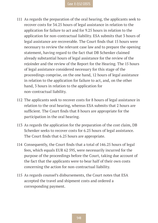- 111 As regards the preparation of the oral hearing, the applicants seek to recover costs for 34.25 hours of legal assistance in relation to the application for failure to act and for 9.25 hours in relation to the application for non-contractual liability. ESA submits that 3 hours of legal assistance are recoverable. The Court finds that 15 hours were necessary to review the relevant case law and to prepare the opening statement, having regard to the fact that DB Schenker claimed already substantial hours of legal assistance for the review of the rejoinder and the review of the Report for the Hearing. The 15 hours of legal assistance considered necessary for this stage of the proceedings comprise, on the one hand, 12 hours of legal assistance in relation to the application for failure to act, and, on the other hand, 3 hours in relation to the application for non-contractual liability.
- 112 The applicants seek to recover costs for 8 hours of legal assistance in relation to the oral hearing, whereas ESA submits that 2 hours are sufficient. The Court finds that 8 hours are appropriate for the participation in the oral hearing.
- 113 As regards the application for the preparation of the cost claim, DB Schenker seeks to recover costs for 6.25 hours of legal assistance. The Court finds that 6.25 hours are appropriate.
- 114 Consequently, the Court finds that a total of 146.25 hours of legal fees, which equals EUR 62 595, were necessarily incurred for the purpose of the proceedings before the Court, taking due account of the fact that the applicants were to bear half of their own costs concerning the action for non-contractual liability.
- 115 As regards counsel's disbursements, the Court notes that ESA accepted the travel and shipment costs and ordered a corresponding payment.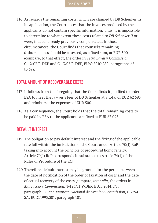116 As regards the remaining costs, which are claimed by DB Schenker in its application, the Court notes that the invoices produced by the applicants do not contain specific information. Thus, it is impossible to determine to what extent these costs related to *DB Schenker II* or were, indeed, already previously compensated. In those circumstances, the Court finds that counsel's remaining disbursements should be assessed, as a fixed sum, at EUR 500 (compare, to that effect, the order in *Tetra Laval* v *Commission*, C-12/03 P-DEP and C-13/03 P-DEP, EU:C:2010:280, paragraphs 65 to 67).

#### **TOTAL AMOUNT OF RECOVERABLE COSTS**

- 117 It follows from the foregoing that the Court finds it justified to order ESA to meet the lawyer's fees of DB Schenker at a total of EUR 62 595 and reimburse the expenses of EUR 500.
- 118 As a consequence, the Court holds that the total remaining costs to be paid by ESA to the applicants are fixed at EUR 63 095.

#### **DEFAULT INTEREST**

- 119 The obligation to pay default interest and the fixing of the applicable rate fall within the jurisdiction of the Court under Article 70(1) RoP taking into account the principle of procedural homogeneity. Article 70(1) RoP corresponds in substance to Article 74(1) of the Rules of Procedure of the ECJ.
- 120 Therefore, default interest may be granted for the period between the date of notification of the order of taxation of costs and the date of actual recovery of the costs (compare, *inter alia*, the orders in *Marcuccio* v *Commission*, T-126/11 P-DEP, EU:T:2014:171, paragraph 52; and *Empresa Nacional de Urânio* v *Commission*, C-2/94 SA, EU:C:1995:301, paragraph 10).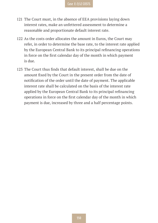#### **Case E-7/12 COSTS**

- 121 The Court must, in the absence of EEA provisions laying down interest rates, make an unfettered assessment to determine a reasonable and proportionate default interest rate.
- 122 As the costs order allocates the amount in Euros, the Court may refer, in order to determine the base rate, to the interest rate applied by the European Central Bank to its principal refinancing operations in force on the first calendar day of the month in which payment is due.
- 123 The Court thus finds that default interest, shall be due on the amount fixed by the Court in the present order from the date of notification of the order until the date of payment. The applicable interest rate shall be calculated on the basis of the interest rate applied by the European Central Bank to its principal refinancing operations in force on the first calendar day of the month in which payment is due, increased by three and a half percentage points.